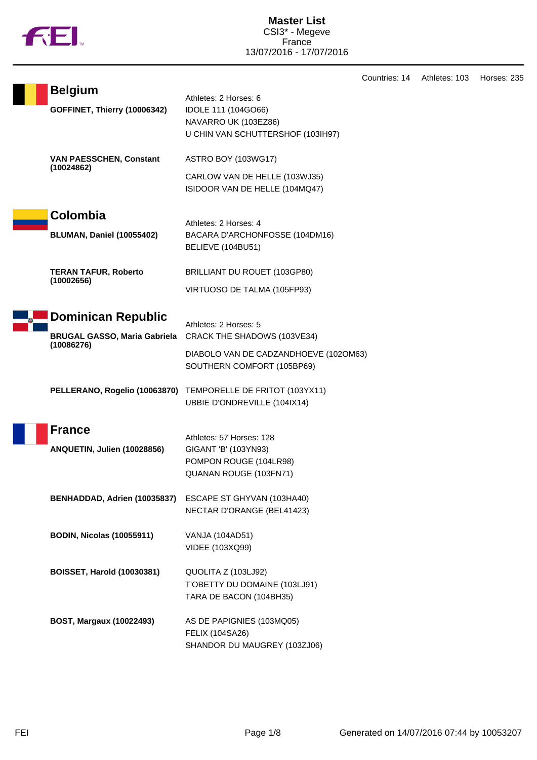

| <b>Belgium</b><br><b>GOFFINET, Thierry (10006342)</b>                          | Athletes: 2 Horses: 6<br>IDOLE 111 (104GO66)<br>NAVARRO UK (103EZ86)                                                        |
|--------------------------------------------------------------------------------|-----------------------------------------------------------------------------------------------------------------------------|
| <b>VAN PAESSCHEN, Constant</b><br>(10024862)                                   | U CHIN VAN SCHUTTERSHOF (103IH97)<br>ASTRO BOY (103WG17)<br>CARLOW VAN DE HELLE (103WJ35)<br>ISIDOOR VAN DE HELLE (104MQ47) |
| Colombia<br><b>BLUMAN, Daniel (10055402)</b>                                   | Athletes: 2 Horses: 4<br>BACARA D'ARCHONFOSSE (104DM16)<br>BELIEVE (104BU51)                                                |
| <b>TERAN TAFUR, Roberto</b><br>(10002656)                                      | BRILLIANT DU ROUET (103GP80)<br>VIRTUOSO DE TALMA (105FP93)                                                                 |
| <b>Dominican Republic</b><br><b>BRUGAL GASSO, Maria Gabriela</b><br>(10086276) | Athletes: 2 Horses: 5<br>CRACK THE SHADOWS (103VE34)<br>DIABOLO VAN DE CADZANDHOEVE (1020M63)<br>SOUTHERN COMFORT (105BP69) |
| PELLERANO, Rogelio (10063870)                                                  | TEMPORELLE DE FRITOT (103YX11)<br>UBBIE D'ONDREVILLE (104IX14)                                                              |
| <b>France</b><br>ANQUETIN, Julien (10028856)                                   | Athletes: 57 Horses: 128<br>GIGANT 'B' (103YN93)<br>POMPON ROUGE (104LR98)<br>QUANAN ROUGE (103FN71)                        |
| BENHADDAD, Adrien (10035837)                                                   | ESCAPE ST GHYVAN (103HA40)<br>NECTAR D'ORANGE (BEL41423)                                                                    |
| <b>BODIN, Nicolas (10055911)</b>                                               | VANJA (104AD51)<br>VIDEE (103XQ99)                                                                                          |
| <b>BOISSET, Harold (10030381)</b>                                              | QUOLITA Z (103LJ92)<br>T'OBETTY DU DOMAINE (103LJ91)<br>TARA DE BACON (104BH35)                                             |
| <b>BOST, Margaux (10022493)</b>                                                | AS DE PAPIGNIES (103MQ05)<br>FELIX (104SA26)<br>SHANDOR DU MAUGREY (103ZJ06)                                                |

Countries: 14 Athletes: 103 Horses: 235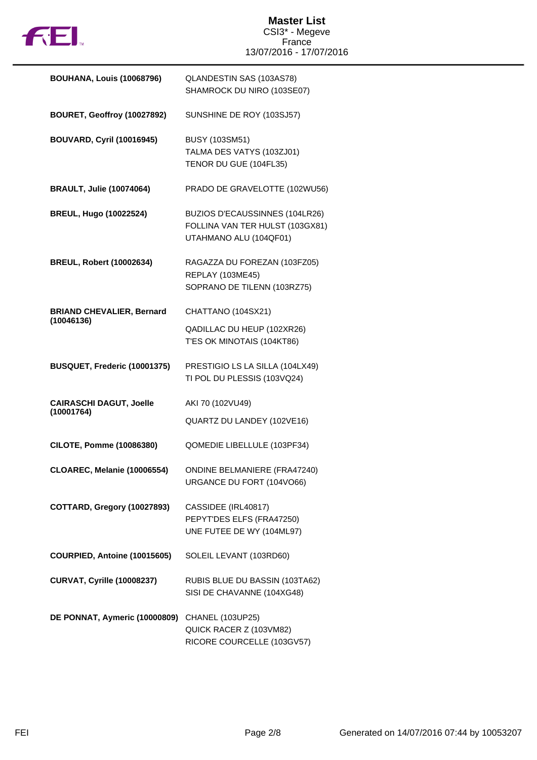

| <b>BOUHANA, Louis (10068796)</b>               | QLANDESTIN SAS (103AS78)<br>SHAMROCK DU NIRO (103SE07)                                      |
|------------------------------------------------|---------------------------------------------------------------------------------------------|
| BOURET, Geoffroy (10027892)                    | SUNSHINE DE ROY (103SJ57)                                                                   |
| <b>BOUVARD, Cyril (10016945)</b>               | <b>BUSY (103SM51)</b><br>TALMA DES VATYS (103ZJ01)<br>TENOR DU GUE (104FL35)                |
| <b>BRAULT, Julie (10074064)</b>                | PRADO DE GRAVELOTTE (102WU56)                                                               |
| <b>BREUL, Hugo (10022524)</b>                  | BUZIOS D'ECAUSSINNES (104LR26)<br>FOLLINA VAN TER HULST (103GX81)<br>UTAHMANO ALU (104QF01) |
| <b>BREUL, Robert (10002634)</b>                | RAGAZZA DU FOREZAN (103FZ05)<br><b>REPLAY (103ME45)</b><br>SOPRANO DE TILENN (103RZ75)      |
| <b>BRIAND CHEVALIER, Bernard</b><br>(10046136) | CHATTANO (104SX21)                                                                          |
|                                                | QADILLAC DU HEUP (102XR26)<br>T'ES OK MINOTAIS (104KT86)                                    |
| BUSQUET, Frederic (10001375)                   | PRESTIGIO LS LA SILLA (104LX49)<br>TI POL DU PLESSIS (103VQ24)                              |
| <b>CAIRASCHI DAGUT, Joelle</b><br>(10001764)   | AKI 70 (102VU49)                                                                            |
|                                                | QUARTZ DU LANDEY (102VE16)                                                                  |
| CILOTE, Pomme (10086380)                       | QOMEDIE LIBELLULE (103PF34)                                                                 |
| CLOAREC, Melanie (10006554)                    | <b>ONDINE BELMANIERE (FRA47240)</b><br>URGANCE DU FORT (104VO66)                            |
| COTTARD, Gregory (10027893)                    | CASSIDEE (IRL40817)<br>PEPYT'DES ELFS (FRA47250)<br>UNE FUTEE DE WY (104ML97)               |
| COURPIED, Antoine (10015605)                   | SOLEIL LEVANT (103RD60)                                                                     |
| <b>CURVAT, Cyrille (10008237)</b>              | RUBIS BLUE DU BASSIN (103TA62)<br>SISI DE CHAVANNE (104XG48)                                |
| DE PONNAT, Aymeric (10000809)                  | <b>CHANEL (103UP25)</b><br>QUICK RACER Z (103VM82)<br>RICORE COURCELLE (103GV57)            |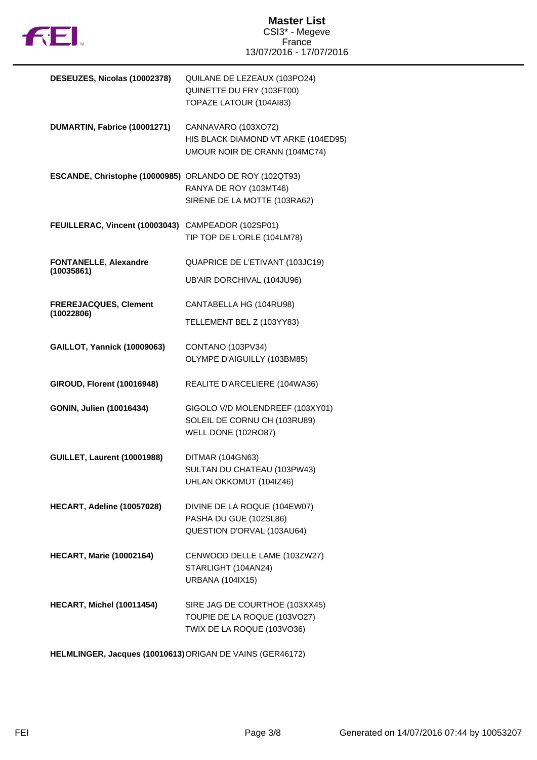

| DESEUZES, Nicolas (10002378)                            | QUILANE DE LEZEAUX (103PO24)<br>QUINETTE DU FRY (103FT00)<br>TOPAZE LATOUR (104AI83)         |
|---------------------------------------------------------|----------------------------------------------------------------------------------------------|
| DUMARTIN, Fabrice (10001271)                            | CANNAVARO (103XO72)<br>HIS BLACK DIAMOND VT ARKE (104ED95)<br>UMOUR NOIR DE CRANN (104MC74)  |
| ESCANDE, Christophe (10000985) ORLANDO DE ROY (102QT93) | RANYA DE ROY (103MT46)<br>SIRENE DE LA MOTTE (103RA62)                                       |
| FEUILLERAC, Vincent (10003043) CAMPEADOR (102SP01)      | TIP TOP DE L'ORLE (104LM78)                                                                  |
| <b>FONTANELLE, Alexandre</b><br>(10035861)              | QUAPRICE DE L'ETIVANT (103JC19)<br>UB'AIR DORCHIVAL (104JU96)                                |
| <b>FREREJACQUES, Clement</b><br>(10022806)              | CANTABELLA HG (104RU98)<br>TELLEMENT BEL Z (103YY83)                                         |
| <b>GAILLOT, Yannick (10009063)</b>                      | CONTANO (103PV34)<br>OLYMPE D'AIGUILLY (103BM85)                                             |
| <b>GIROUD, Florent (10016948)</b>                       | REALITE D'ARCELIERE (104WA36)                                                                |
| GONIN, Julien (10016434)                                | GIGOLO V/D MOLENDREEF (103XY01)<br>SOLEIL DE CORNU CH (103RU89)<br>WELL DONE (102RO87)       |
| <b>GUILLET, Laurent (10001988)</b>                      | DITMAR (104GN63)<br>SULTAN DU CHATEAU (103PW43)<br>UHLAN OKKOMUT (104IZ46)                   |
| HECART, Adeline (10057028)                              | DIVINE DE LA ROQUE (104EW07)<br>PASHA DU GUE (102SL86)<br>QUESTION D'ORVAL (103AU64)         |
| <b>HECART, Marie (10002164)</b>                         | CENWOOD DELLE LAME (103ZW27)<br>STARLIGHT (104AN24)<br><b>URBANA (104IX15)</b>               |
| <b>HECART, Michel (10011454)</b>                        | SIRE JAG DE COURTHOE (103XX45)<br>TOUPIE DE LA ROQUE (103VO27)<br>TWIX DE LA ROQUE (103VO36) |
|                                                         |                                                                                              |

**HELMLINGER, Jacques (10010613)**ORIGAN DE VAINS (GER46172)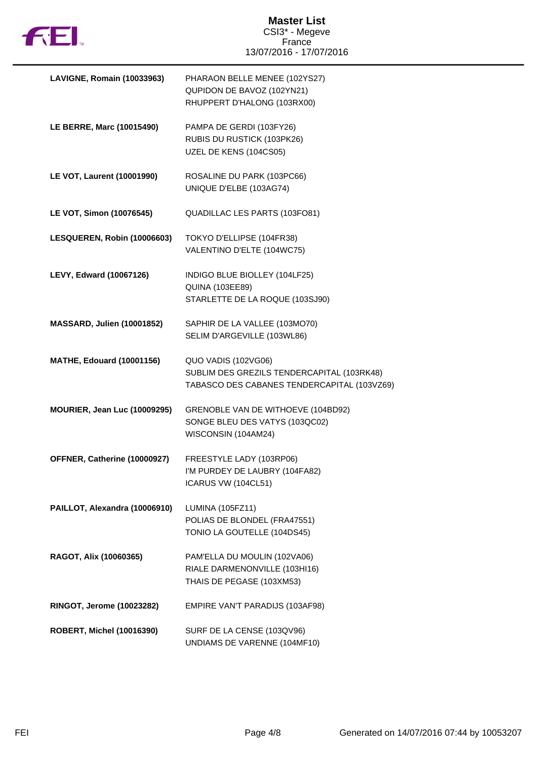

| LAVIGNE, Romain (10033963)        | PHARAON BELLE MENEE (102YS27)<br>QUPIDON DE BAVOZ (102YN21)<br>RHUPPERT D'HALONG (103RX00)                       |
|-----------------------------------|------------------------------------------------------------------------------------------------------------------|
| LE BERRE, Marc (10015490)         | PAMPA DE GERDI (103FY26)<br>RUBIS DU RUSTICK (103PK26)<br>UZEL DE KENS (104CS05)                                 |
| <b>LE VOT, Laurent (10001990)</b> | ROSALINE DU PARK (103PC66)<br>UNIQUE D'ELBE (103AG74)                                                            |
| LE VOT, Simon (10076545)          | QUADILLAC LES PARTS (103FO81)                                                                                    |
| LESQUEREN, Robin (10006603)       | TOKYO D'ELLIPSE (104FR38)<br>VALENTINO D'ELTE (104WC75)                                                          |
| LEVY, Edward (10067126)           | INDIGO BLUE BIOLLEY (104LF25)<br><b>QUINA (103EE89)</b><br>STARLETTE DE LA ROQUE (103SJ90)                       |
| <b>MASSARD, Julien (10001852)</b> | SAPHIR DE LA VALLEE (103MO70)<br>SELIM D'ARGEVILLE (103WL86)                                                     |
| <b>MATHE, Edouard (10001156)</b>  | QUO VADIS (102VG06)<br>SUBLIM DES GREZILS TENDERCAPITAL (103RK48)<br>TABASCO DES CABANES TENDERCAPITAL (103VZ69) |
| MOURIER, Jean Luc (10009295)      | GRENOBLE VAN DE WITHOEVE (104BD92)<br>SONGE BLEU DES VATYS (103QC02)<br>WISCONSIN (104AM24)                      |
| OFFNER, Catherine (10000927)      | FREESTYLE LADY (103RP06)<br>I'M PURDEY DE LAUBRY (104FA82)<br>ICARUS VW (104CL51)                                |
| PAILLOT, Alexandra (10006910)     | LUMINA (105FZ11)<br>POLIAS DE BLONDEL (FRA47551)<br>TONIO LA GOUTELLE (104DS45)                                  |
| RAGOT, Alix (10060365)            | PAM'ELLA DU MOULIN (102VA06)<br>RIALE DARMENONVILLE (103HI16)<br>THAIS DE PEGASE (103XM53)                       |
| RINGOT, Jerome (10023282)         | EMPIRE VAN'T PARADIJS (103AF98)                                                                                  |
| <b>ROBERT, Michel (10016390)</b>  | SURF DE LA CENSE (103QV96)<br>UNDIAMS DE VARENNE (104MF10)                                                       |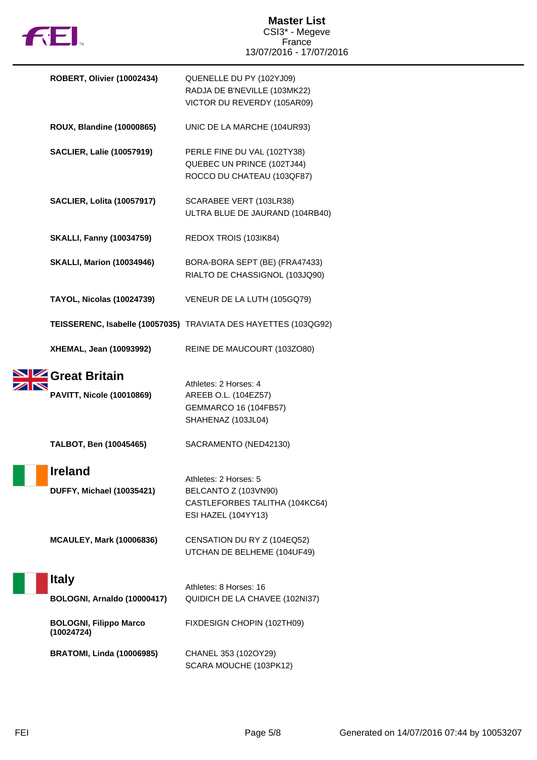

| <b>ROBERT, Olivier (10002434)</b>                  | QUENELLE DU PY (102YJ09)<br>RADJA DE B'NEVILLE (103MK22)<br>VICTOR DU REVERDY (105AR09)                |
|----------------------------------------------------|--------------------------------------------------------------------------------------------------------|
| <b>ROUX, Blandine (10000865)</b>                   | UNIC DE LA MARCHE (104UR93)                                                                            |
| <b>SACLIER, Lalie (10057919)</b>                   | PERLE FINE DU VAL (102TY38)<br>QUEBEC UN PRINCE (102TJ44)<br>ROCCO DU CHATEAU (103QF87)                |
| <b>SACLIER, Lolita (10057917)</b>                  | SCARABEE VERT (103LR38)<br>ULTRA BLUE DE JAURAND (104RB40)                                             |
| <b>SKALLI, Fanny (10034759)</b>                    | REDOX TROIS (103IK84)                                                                                  |
| <b>SKALLI, Marion (10034946)</b>                   | BORA-BORA SEPT (BE) (FRA47433)<br>RIALTO DE CHASSIGNOL (103JQ90)                                       |
| <b>TAYOL, Nicolas (10024739)</b>                   | VENEUR DE LA LUTH (105GQ79)                                                                            |
|                                                    | TEISSERENC, Isabelle (10057035) TRAVIATA DES HAYETTES (103QG92)                                        |
| XHEMAL, Jean (10093992)                            | REINE DE MAUCOURT (103ZO80)                                                                            |
| Great Britain<br><b>PAVITT, Nicole (10010869)</b>  | Athletes: 2 Horses: 4<br>AREEB O.L. (104EZ57)<br>GEMMARCO 16 (104FB57)<br>SHAHENAZ (103JL04)           |
| TALBOT, Ben (10045465)                             | SACRAMENTO (NED42130)                                                                                  |
| <b>Ireland</b><br><b>DUFFY, Michael (10035421)</b> | Athletes: 2 Horses: 5<br>BELCANTO Z (103VN90)<br>CASTLEFORBES TALITHA (104KC64)<br>ESI HAZEL (104YY13) |
| <b>MCAULEY, Mark (10006836)</b>                    | CENSATION DU RY Z (104EQ52)<br>UTCHAN DE BELHEME (104UF49)                                             |
| <b>Italy</b>                                       | Athletes: 8 Horses: 16                                                                                 |
| BOLOGNI, Arnaldo (10000417)                        | QUIDICH DE LA CHAVEE (102NI37)                                                                         |
| <b>BOLOGNI, Filippo Marco</b><br>(10024724)        | FIXDESIGN CHOPIN (102TH09)                                                                             |
| <b>BRATOMI, Linda (10006985)</b>                   | CHANEL 353 (102OY29)<br>SCARA MOUCHE (103PK12)                                                         |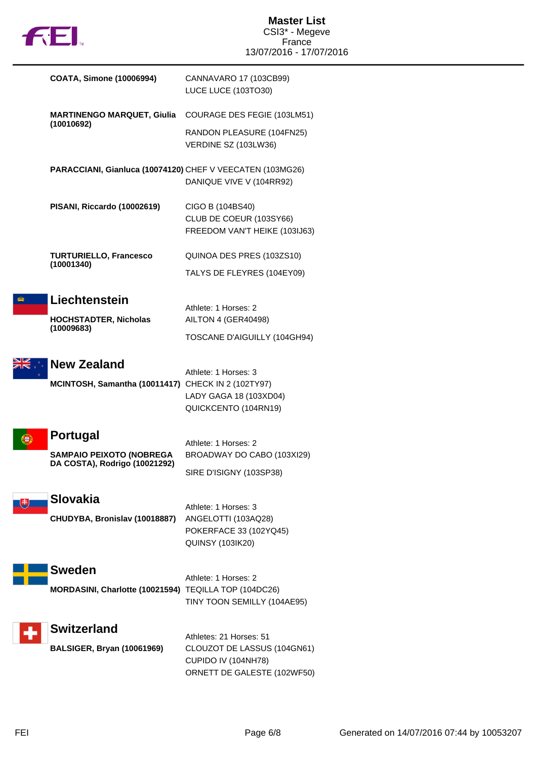

|   | <b>COATA, Simone (10006994)</b>                                                     | CANNAVARO 17 (103CB99)<br>LUCE LUCE (103TO30)                                                                |
|---|-------------------------------------------------------------------------------------|--------------------------------------------------------------------------------------------------------------|
|   | <b>MARTINENGO MARQUET, Giulia</b><br>(10010692)                                     | COURAGE DES FEGIE (103LM51)                                                                                  |
|   |                                                                                     | RANDON PLEASURE (104FN25)<br>VERDINE SZ (103LW36)                                                            |
|   | PARACCIANI, Gianluca (10074120) CHEF V VEECATEN (103MG26)                           | DANIQUE VIVE V (104RR92)                                                                                     |
|   | PISANI, Riccardo (10002619)                                                         | CIGO B (104BS40)<br>CLUB DE COEUR (103SY66)<br>FREEDOM VAN'T HEIKE (103IJ63)                                 |
|   | <b>TURTURIELLO, Francesco</b><br>(10001340)                                         | QUINOA DES PRES (103ZS10)                                                                                    |
|   |                                                                                     | TALYS DE FLEYRES (104EY09)                                                                                   |
|   | Liechtenstein<br><b>HOCHSTADTER, Nicholas</b>                                       | Athlete: 1 Horses: 2<br>AILTON 4 (GER40498)                                                                  |
|   | (10009683)                                                                          | TOSCANE D'AIGUILLY (104GH94)                                                                                 |
|   | <b>New Zealand</b><br>MCINTOSH, Samantha (10011417) CHECK IN 2 (102TY97)            | Athlete: 1 Horses: 3<br>LADY GAGA 18 (103XD04)<br>QUICKCENTO (104RN19)                                       |
| 9 | <b>Portugal</b><br><b>SAMPAIO PEIXOTO (NOBREGA</b><br>DA COSTA), Rodrigo (10021292) | Athlete: 1 Horses: 2<br>BROADWAY DO CABO (103XI29)<br>SIRE D'ISIGNY (103SP38)                                |
|   | <b>Slovakia</b><br>CHUDYBA, Bronislav (10018887)                                    | Athlete: 1 Horses: 3<br>ANGELOTTI (103AQ28)<br>POKERFACE 33 (102YQ45)<br><b>QUINSY (103IK20)</b>             |
|   | <b>Sweden</b><br>MORDASINI, Charlotte (10021594) TEQILLA TOP (104DC26)              | Athlete: 1 Horses: 2<br>TINY TOON SEMILLY (104AE95)                                                          |
|   | <b>Switzerland</b><br><b>BALSIGER, Bryan (10061969)</b>                             | Athletes: 21 Horses: 51<br>CLOUZOT DE LASSUS (104GN61)<br>CUPIDO IV (104NH78)<br>ORNETT DE GALESTE (102WF50) |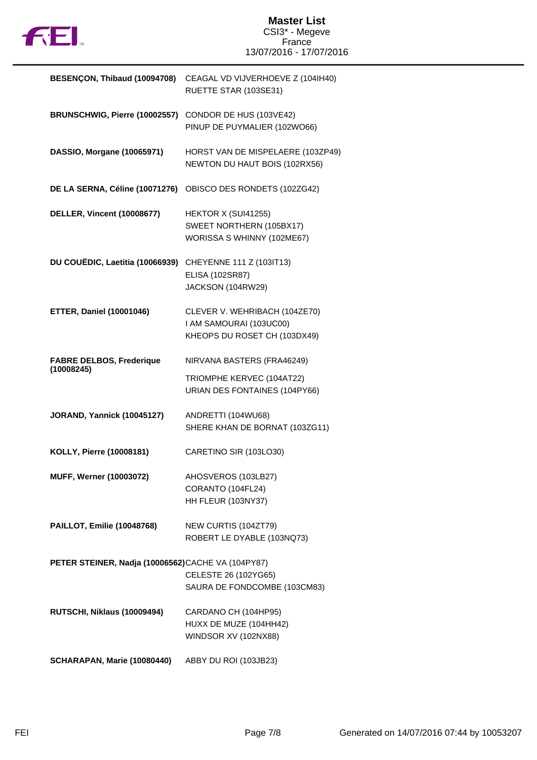

| BESENÇON, Thibaud (10094708)                      | CEAGAL VD VIJVERHOEVE Z (104IH40)<br>RUETTE STAR (103SE31)                               |
|---------------------------------------------------|------------------------------------------------------------------------------------------|
| BRUNSCHWIG, Pierre (10002557)                     | CONDOR DE HUS (103VE42)<br>PINUP DE PUYMALIER (102WO66)                                  |
| DASSIO, Morgane (10065971)                        | HORST VAN DE MISPELAERE (103ZP49)<br>NEWTON DU HAUT BOIS (102RX56)                       |
| DE LA SERNA, Céline (10071276)                    | OBISCO DES RONDETS (102ZG42)                                                             |
| <b>DELLER, Vincent (10008677)</b>                 | HEKTOR X (SUI41255)<br>SWEET NORTHERN (105BX17)<br>WORISSA S WHINNY (102ME67)            |
| DU COUËDIC, Laetitia (10066939)                   | CHEYENNE 111 Z (103IT13)<br>ELISA (102SR87)<br>JACKSON (104RW29)                         |
| <b>ETTER, Daniel (10001046)</b>                   | CLEVER V. WEHRIBACH (104ZE70)<br>I AM SAMOURAI (103UC00)<br>KHEOPS DU ROSET CH (103DX49) |
| <b>FABRE DELBOS, Frederique</b><br>(10008245)     | NIRVANA BASTERS (FRA46249)                                                               |
|                                                   | TRIOMPHE KERVEC (104AT22)<br>URIAN DES FONTAINES (104PY66)                               |
| <b>JORAND, Yannick (10045127)</b>                 | ANDRETTI (104WU68)<br>SHERE KHAN DE BORNAT (103ZG11)                                     |
| KOLLY, Pierre (10008181)                          | CARETINO SIR (103LO30)                                                                   |
| MUFF, Werner (10003072)                           | AHOSVEROS (103LB27)<br>CORANTO (104FL24)<br>HH FLEUR (103NY37)                           |
| <b>PAILLOT, Emilie (10048768)</b>                 | NEW CURTIS (104ZT79)<br>ROBERT LE DYABLE (103NQ73)                                       |
| PETER STEINER, Nadja (10006562)CACHE VA (104PY87) | CELESTE 26 (102YG65)<br>SAURA DE FONDCOMBE (103CM83)                                     |
| RUTSCHI, Niklaus (10009494)                       | CARDANO CH (104HP95)<br>HUXX DE MUZE (104HH42)<br>WINDSOR XV (102NX88)                   |
| SCHARAPAN, Marie (10080440)                       | ABBY DU ROI (103JB23)                                                                    |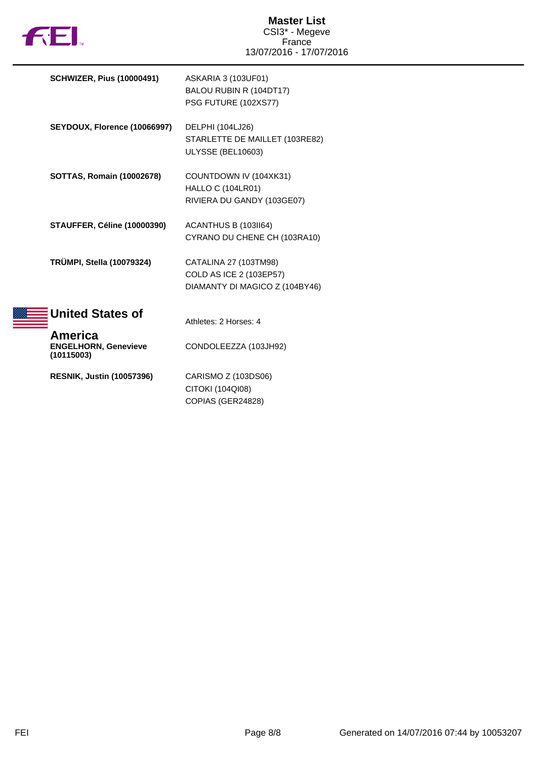

| <b>SCHWIZER, Pius (10000491)</b>                            | <b>ASKARIA 3 (103UF01)</b><br>BALOU RUBIN R (104DT17)<br>PSG FUTURE (102XS77)      |
|-------------------------------------------------------------|------------------------------------------------------------------------------------|
| SEYDOUX, Florence (10066997)                                | <b>DELPHI (104LJ26)</b><br>STARLETTE DE MAILLET (103RE82)<br>ULYSSE (BEL10603)     |
| <b>SOTTAS, Romain (10002678)</b>                            | COUNTDOWN IV (104XK31)<br>HALLO C (104LR01)<br>RIVIERA DU GANDY (103GE07)          |
| <b>STAUFFER, Céline (10000390)</b>                          | ACANTHUS B (103II64)<br>CYRANO DU CHENE CH (103RA10)                               |
| <b>TRÜMPI, Stella (10079324)</b>                            | CATALINA 27 (103TM98)<br>COLD AS ICE 2 (103EP57)<br>DIAMANTY DI MAGICO Z (104BY46) |
| <b>United States of</b>                                     | Athletes: 2 Horses: 4                                                              |
| <b>America</b><br><b>ENGELHORN, Genevieve</b><br>(10115003) | CONDOLEEZZA (103JH92)                                                              |
| <b>RESNIK, Justin (10057396)</b>                            | CARISMO Z (103DS06)<br>CITOKI (104QI08)<br>COPIAS (GER24828)                       |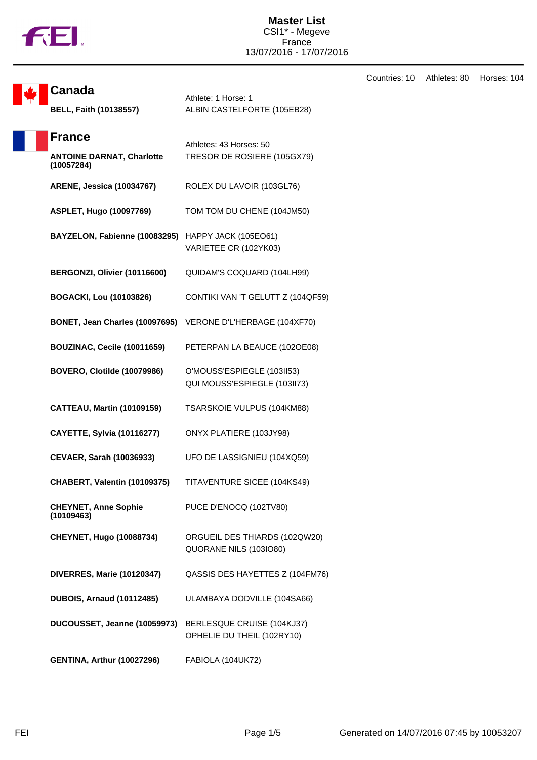|  |  | ΤM |
|--|--|----|
|  |  |    |

|                                                    |                                                            | Countries: 10 | Athletes: 80 | Horses: 104 |
|----------------------------------------------------|------------------------------------------------------------|---------------|--------------|-------------|
| <b>Canada</b>                                      | Athlete: 1 Horse: 1                                        |               |              |             |
| <b>BELL, Faith (10138557)</b>                      | ALBIN CASTELFORTE (105EB28)                                |               |              |             |
| <b>France</b>                                      |                                                            |               |              |             |
| <b>ANTOINE DARNAT, Charlotte</b><br>(10057284)     | Athletes: 43 Horses: 50<br>TRESOR DE ROSIERE (105GX79)     |               |              |             |
| <b>ARENE, Jessica (10034767)</b>                   | ROLEX DU LAVOIR (103GL76)                                  |               |              |             |
| <b>ASPLET, Hugo (10097769)</b>                     | TOM TOM DU CHENE (104JM50)                                 |               |              |             |
| BAYZELON, Fabienne (10083295) HAPPY JACK (105EO61) | VARIETEE CR (102YK03)                                      |               |              |             |
| BERGONZI, Olivier (10116600)                       | QUIDAM'S COQUARD (104LH99)                                 |               |              |             |
| <b>BOGACKI, Lou (10103826)</b>                     | CONTIKI VAN 'T GELUTT Z (104QF59)                          |               |              |             |
| BONET, Jean Charles (10097695)                     | VERONE D'L'HERBAGE (104XF70)                               |               |              |             |
| BOUZINAC, Cecile (10011659)                        | PETERPAN LA BEAUCE (1020E08)                               |               |              |             |
| <b>BOVERO, Clotilde (10079986)</b>                 | O'MOUSS'ESPIEGLE (103II53)<br>QUI MOUSS'ESPIEGLE (103II73) |               |              |             |
| <b>CATTEAU, Martin (10109159)</b>                  | TSARSKOIE VULPUS (104KM88)                                 |               |              |             |
| <b>CAYETTE, Sylvia (10116277)</b>                  | ONYX PLATIERE (103JY98)                                    |               |              |             |
| <b>CEVAER, Sarah (10036933)</b>                    | UFO DE LASSIGNIEU (104XQ59)                                |               |              |             |
| CHABERT, Valentin (10109375)                       | TITAVENTURE SICEE (104KS49)                                |               |              |             |
| <b>CHEYNET, Anne Sophie</b><br>(10109463)          | PUCE D'ENOCQ (102TV80)                                     |               |              |             |
| CHEYNET, Hugo (10088734)                           | ORGUEIL DES THIARDS (102QW20)<br>QUORANE NILS (103IO80)    |               |              |             |
| <b>DIVERRES, Marie (10120347)</b>                  | QASSIS DES HAYETTES Z (104FM76)                            |               |              |             |
| <b>DUBOIS, Arnaud (10112485)</b>                   | ULAMBAYA DODVILLE (104SA66)                                |               |              |             |
| DUCOUSSET, Jeanne (10059973)                       | BERLESQUE CRUISE (104KJ37)<br>OPHELIE DU THEIL (102RY10)   |               |              |             |
| <b>GENTINA, Arthur (10027296)</b>                  | <b>FABIOLA (104UK72)</b>                                   |               |              |             |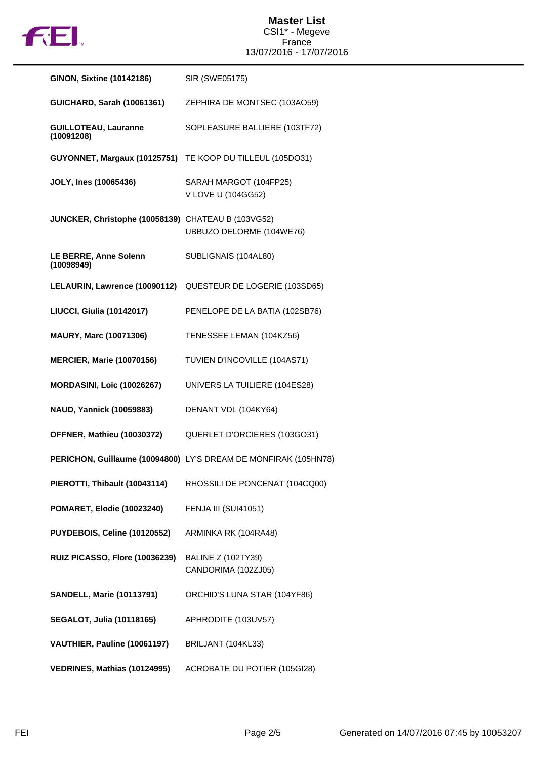

| <b>GINON, Sixtine (10142186)</b>                   | SIR (SWE05175)                                                  |
|----------------------------------------------------|-----------------------------------------------------------------|
| <b>GUICHARD, Sarah (10061361)</b>                  | ZEPHIRA DE MONTSEC (103AO59)                                    |
| <b>GUILLOTEAU, Lauranne</b><br>(10091208)          | SOPLEASURE BALLIERE (103TF72)                                   |
| GUYONNET, Margaux (10125751)                       | TE KOOP DU TILLEUL (105DO31)                                    |
| JOLY, Ines (10065436)                              | SARAH MARGOT (104FP25)<br>V LOVE U (104GG52)                    |
| JUNCKER, Christophe (10058139) CHATEAU B (103VG52) | UBBUZO DELORME (104WE76)                                        |
| LE BERRE, Anne Solenn<br>(10098949)                | SUBLIGNAIS (104AL80)                                            |
| LELAURIN, Lawrence (10090112)                      | QUESTEUR DE LOGERIE (103SD65)                                   |
| <b>LIUCCI, Giulia (10142017)</b>                   | PENELOPE DE LA BATIA (102SB76)                                  |
| <b>MAURY, Marc (10071306)</b>                      | TENESSEE LEMAN (104KZ56)                                        |
| <b>MERCIER, Marie (10070156)</b>                   | TUVIEN D'INCOVILLE (104AS71)                                    |
| <b>MORDASINI, Loic (10026267)</b>                  | UNIVERS LA TUILIERE (104ES28)                                   |
| <b>NAUD, Yannick (10059883)</b>                    | DENANT VDL (104KY64)                                            |
| OFFNER, Mathieu (10030372)                         | QUERLET D'ORCIERES (103GO31)                                    |
|                                                    | PERICHON, Guillaume (10094800) LY'S DREAM DE MONFIRAK (105HN78) |
| PIEROTTI, Thibault (10043114)                      | RHOSSILI DE PONCENAT (104CQ00)                                  |
| <b>POMARET, Elodie (10023240)</b>                  | <b>FENJA III (SUI41051)</b>                                     |
| PUYDEBOIS, Celine (10120552)                       | ARMINKA RK (104RA48)                                            |
| RUIZ PICASSO, Flore (10036239)                     | <b>BALINE Z (102TY39)</b><br>CANDORIMA (102ZJ05)                |
| <b>SANDELL, Marie (10113791)</b>                   | ORCHID'S LUNA STAR (104YF86)                                    |
| <b>SEGALOT, Julia (10118165)</b>                   | APHRODITE (103UV57)                                             |
| VAUTHIER, Pauline (10061197)                       | BRILJANT (104KL33)                                              |
| VEDRINES, Mathias (10124995)                       | ACROBATE DU POTIER (105GI28)                                    |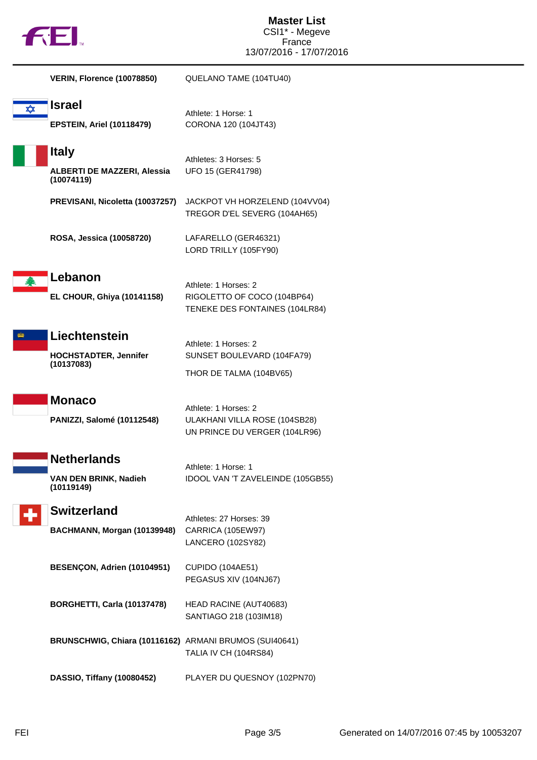

|            | <b>VERIN, Florence (10078850)</b>                           | QUELANO TAME (104TU40)                                                                 |
|------------|-------------------------------------------------------------|----------------------------------------------------------------------------------------|
| $\bigstar$ | <b>Israel</b><br><b>EPSTEIN, Ariel (10118479)</b>           | Athlete: 1 Horse: 1<br>CORONA 120 (104JT43)                                            |
|            | <b>Italy</b><br><b>ALBERTI DE MAZZERI, Alessia</b>          | Athletes: 3 Horses: 5<br><b>UFO 15 (GER41798)</b>                                      |
|            | (10074119)<br>PREVISANI, Nicoletta (10037257)               | JACKPOT VH HORZELEND (104VV04)<br>TREGOR D'EL SEVERG (104AH65)                         |
|            | ROSA, Jessica (10058720)                                    | LAFARELLO (GER46321)<br>LORD TRILLY (105FY90)                                          |
|            | Lebanon<br><b>EL CHOUR, Ghiya (10141158)</b>                | Athlete: 1 Horses: 2<br>RIGOLETTO OF COCO (104BP64)<br>TENEKE DES FONTAINES (104LR84)  |
|            | Liechtenstein<br><b>HOCHSTADTER, Jennifer</b><br>(10137083) | Athlete: 1 Horses: 2<br>SUNSET BOULEVARD (104FA79)<br>THOR DE TALMA (104BV65)          |
|            | <b>Monaco</b><br>PANIZZI, Salomé (10112548)                 | Athlete: 1 Horses: 2<br>ULAKHANI VILLA ROSE (104SB28)<br>UN PRINCE DU VERGER (104LR96) |
|            | <b>Netherlands</b><br>VAN DEN BRINK, Nadieh<br>(10119149)   | Athlete: 1 Horse: 1<br>IDOOL VAN 'T ZAVELEINDE (105GB55)                               |
|            | <b>Switzerland</b><br>BACHMANN, Morgan (10139948)           | Athletes: 27 Horses: 39<br>CARRICA (105EW97)<br>LANCERO (102SY82)                      |
|            | BESENÇON, Adrien (10104951)                                 | <b>CUPIDO (104AE51)</b><br>PEGASUS XIV (104NJ67)                                       |
|            | <b>BORGHETTI, Carla (10137478)</b>                          | HEAD RACINE (AUT40683)<br>SANTIAGO 218 (103IM18)                                       |
|            | BRUNSCHWIG, Chiara (10116162) ARMANI BRUMOS (SUI40641)      | TALIA IV CH (104RS84)                                                                  |
|            | DASSIO, Tiffany (10080452)                                  | PLAYER DU QUESNOY (102PN70)                                                            |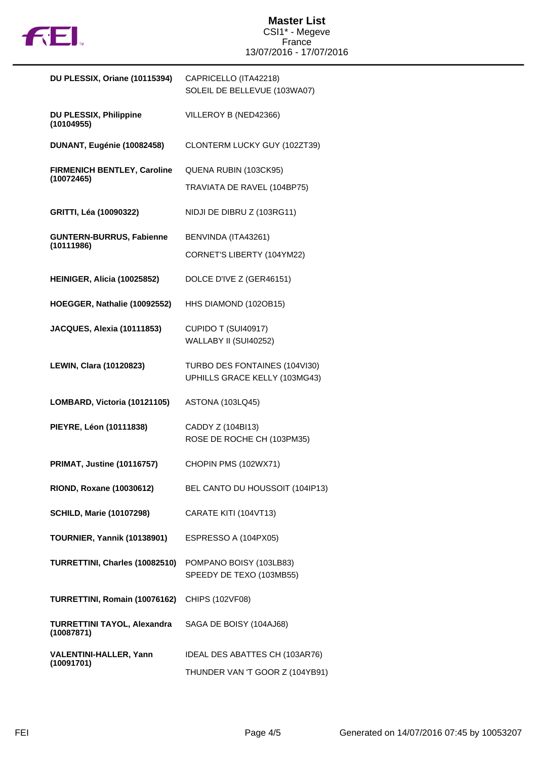

| DU PLESSIX, Oriane (10115394)                    | CAPRICELLO (ITA42218)<br>SOLEIL DE BELLEVUE (103WA07)          |
|--------------------------------------------------|----------------------------------------------------------------|
| DU PLESSIX, Philippine<br>(10104955)             | VILLEROY B (NED42366)                                          |
| DUNANT, Eugénie (10082458)                       | CLONTERM LUCKY GUY (102ZT39)                                   |
| <b>FIRMENICH BENTLEY, Caroline</b><br>(10072465) | QUENA RUBIN (103CK95)                                          |
|                                                  | TRAVIATA DE RAVEL (104BP75)                                    |
| GRITTI, Léa (10090322)                           | NIDJI DE DIBRU Z (103RG11)                                     |
| <b>GUNTERN-BURRUS, Fabienne</b><br>(10111986)    | BENVINDA (ITA43261)                                            |
|                                                  | CORNET'S LIBERTY (104YM22)                                     |
| HEINIGER, Alicia (10025852)                      | DOLCE D'IVE Z (GER46151)                                       |
| HOEGGER, Nathalie (10092552)                     | HHS DIAMOND (102OB15)                                          |
| JACQUES, Alexia (10111853)                       | CUPIDO T (SUI40917)<br>WALLABY II (SUI40252)                   |
|                                                  |                                                                |
| <b>LEWIN, Clara (10120823)</b>                   | TURBO DES FONTAINES (104VI30)<br>UPHILLS GRACE KELLY (103MG43) |
| LOMBARD, Victoria (10121105)                     | ASTONA (103LQ45)                                               |
| PIEYRE, Léon (10111838)                          | CADDY Z (104BI13)                                              |
|                                                  | ROSE DE ROCHE CH (103PM35)                                     |
| <b>PRIMAT, Justine (10116757)</b>                | CHOPIN PMS (102WX71)                                           |
| RIOND, Roxane (10030612)                         | BEL CANTO DU HOUSSOIT (104IP13)                                |
| <b>SCHILD, Marie (10107298)</b>                  | CARATE KITI (104VT13)                                          |
| <b>TOURNIER, Yannik (10138901)</b>               | ESPRESSO A (104PX05)                                           |
| TURRETTINI, Charles (10082510)                   | POMPANO BOISY (103LB83)<br>SPEEDY DE TEXO (103MB55)            |
| TURRETTINI, Romain (10076162)                    | CHIPS (102VF08)                                                |
| <b>TURRETTINI TAYOL, Alexandra</b><br>(10087871) | SAGA DE BOISY (104AJ68)                                        |
| VALENTINI-HALLER, Yann<br>(10091701)             | IDEAL DES ABATTES CH (103AR76)                                 |
|                                                  | THUNDER VAN 'T GOOR Z (104YB91)                                |